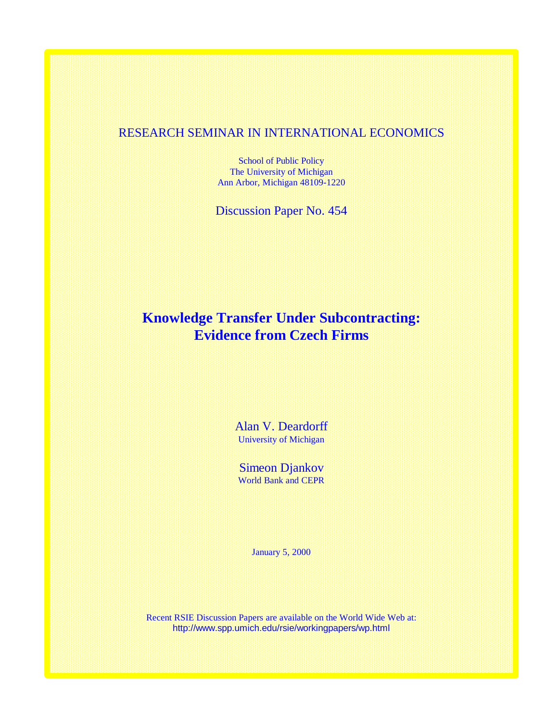## RESEARCH SEMINAR IN INTERNATIONAL ECONOMICS

School of Public Policy The University of Michigan Ann Arbor, Michigan 48109-1220

Discussion Paper No. 454

# **Knowledge Transfer Under Subcontracting: Evidence from Czech Firms**

Alan V. Deardorff University of Michigan

Simeon Djankov World Bank and CEPR

January 5, 2000

Recent RSIE Discussion Papers are available on the World Wide Web at: http://www.spp.umich.edu/rsie/workingpapers/wp.html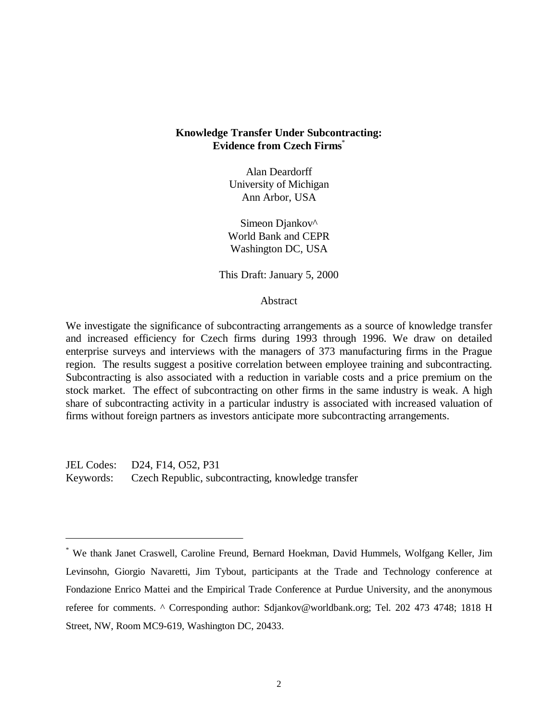## **Knowledge Transfer Under Subcontracting: Evidence from Czech Firms**\*

Alan Deardorff University of Michigan Ann Arbor, USA

Simeon Diankov<sup>^</sup> World Bank and CEPR Washington DC, USA

This Draft: January 5, 2000

## Abstract

We investigate the significance of subcontracting arrangements as a source of knowledge transfer and increased efficiency for Czech firms during 1993 through 1996. We draw on detailed enterprise surveys and interviews with the managers of 373 manufacturing firms in the Prague region. The results suggest a positive correlation between employee training and subcontracting. Subcontracting is also associated with a reduction in variable costs and a price premium on the stock market. The effect of subcontracting on other firms in the same industry is weak. A high share of subcontracting activity in a particular industry is associated with increased valuation of firms without foreign partners as investors anticipate more subcontracting arrangements.

JEL Codes: D24, F14, O52, P31 Keywords: Czech Republic, subcontracting, knowledge transfer

<sup>\*</sup> We thank Janet Craswell, Caroline Freund, Bernard Hoekman, David Hummels, Wolfgang Keller, Jim Levinsohn, Giorgio Navaretti, Jim Tybout, participants at the Trade and Technology conference at Fondazione Enrico Mattei and the Empirical Trade Conference at Purdue University, and the anonymous referee for comments. ^ Corresponding author: Sdjankov@worldbank.org; Tel. 202 473 4748; 1818 H Street, NW, Room MC9-619, Washington DC, 20433.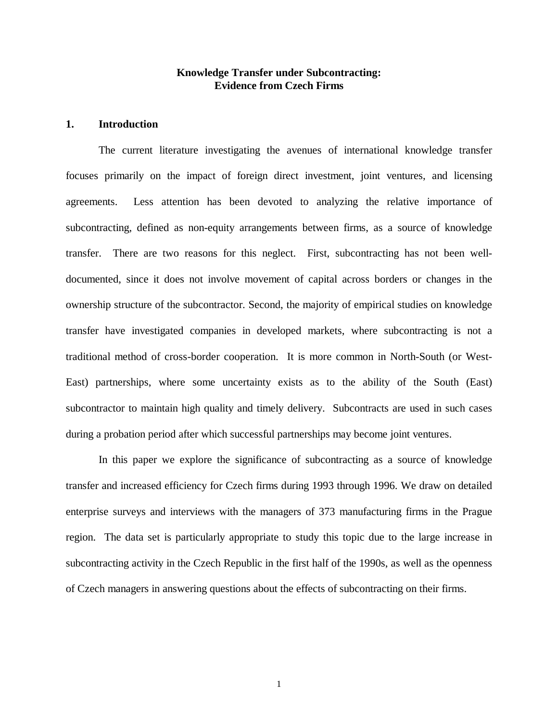## **Knowledge Transfer under Subcontracting: Evidence from Czech Firms**

## **1. Introduction**

The current literature investigating the avenues of international knowledge transfer focuses primarily on the impact of foreign direct investment, joint ventures, and licensing agreements. Less attention has been devoted to analyzing the relative importance of subcontracting, defined as non-equity arrangements between firms, as a source of knowledge transfer. There are two reasons for this neglect. First, subcontracting has not been welldocumented, since it does not involve movement of capital across borders or changes in the ownership structure of the subcontractor. Second, the majority of empirical studies on knowledge transfer have investigated companies in developed markets, where subcontracting is not a traditional method of cross-border cooperation. It is more common in North-South (or West-East) partnerships, where some uncertainty exists as to the ability of the South (East) subcontractor to maintain high quality and timely delivery. Subcontracts are used in such cases during a probation period after which successful partnerships may become joint ventures.

In this paper we explore the significance of subcontracting as a source of knowledge transfer and increased efficiency for Czech firms during 1993 through 1996. We draw on detailed enterprise surveys and interviews with the managers of 373 manufacturing firms in the Prague region. The data set is particularly appropriate to study this topic due to the large increase in subcontracting activity in the Czech Republic in the first half of the 1990s, as well as the openness of Czech managers in answering questions about the effects of subcontracting on their firms.

1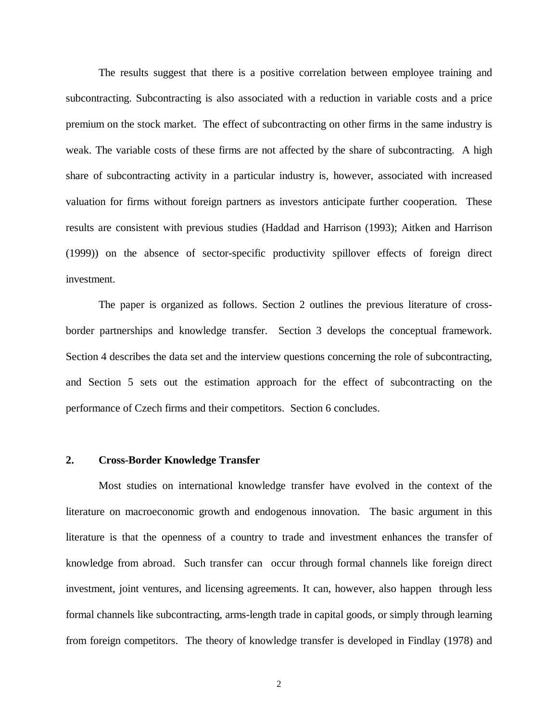The results suggest that there is a positive correlation between employee training and subcontracting. Subcontracting is also associated with a reduction in variable costs and a price premium on the stock market. The effect of subcontracting on other firms in the same industry is weak. The variable costs of these firms are not affected by the share of subcontracting. A high share of subcontracting activity in a particular industry is, however, associated with increased valuation for firms without foreign partners as investors anticipate further cooperation. These results are consistent with previous studies (Haddad and Harrison (1993); Aitken and Harrison (1999)) on the absence of sector-specific productivity spillover effects of foreign direct investment.

The paper is organized as follows. Section 2 outlines the previous literature of crossborder partnerships and knowledge transfer. Section 3 develops the conceptual framework. Section 4 describes the data set and the interview questions concerning the role of subcontracting, and Section 5 sets out the estimation approach for the effect of subcontracting on the performance of Czech firms and their competitors. Section 6 concludes.

#### **2. Cross-Border Knowledge Transfer**

Most studies on international knowledge transfer have evolved in the context of the literature on macroeconomic growth and endogenous innovation. The basic argument in this literature is that the openness of a country to trade and investment enhances the transfer of knowledge from abroad. Such transfer can occur through formal channels like foreign direct investment, joint ventures, and licensing agreements. It can, however, also happen through less formal channels like subcontracting, arms-length trade in capital goods, or simply through learning from foreign competitors. The theory of knowledge transfer is developed in Findlay (1978) and

2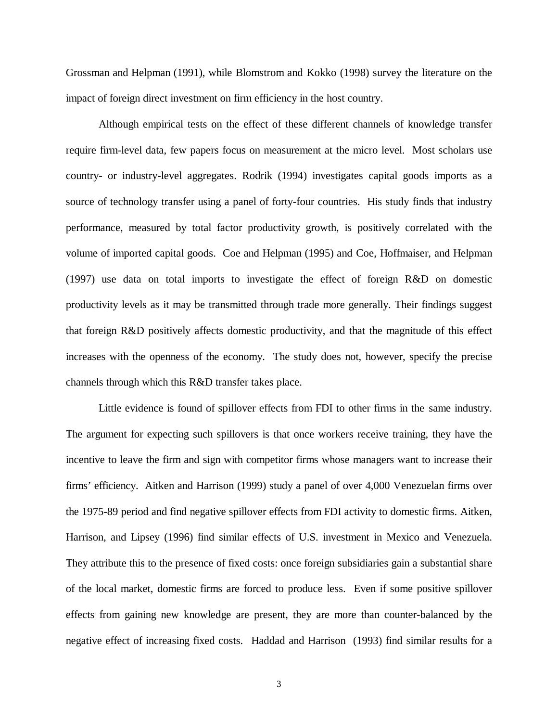Grossman and Helpman (1991), while Blomstrom and Kokko (1998) survey the literature on the impact of foreign direct investment on firm efficiency in the host country.

Although empirical tests on the effect of these different channels of knowledge transfer require firm-level data, few papers focus on measurement at the micro level. Most scholars use country- or industry-level aggregates. Rodrik (1994) investigates capital goods imports as a source of technology transfer using a panel of forty-four countries. His study finds that industry performance, measured by total factor productivity growth, is positively correlated with the volume of imported capital goods. Coe and Helpman (1995) and Coe, Hoffmaiser, and Helpman (1997) use data on total imports to investigate the effect of foreign R&D on domestic productivity levels as it may be transmitted through trade more generally. Their findings suggest that foreign R&D positively affects domestic productivity, and that the magnitude of this effect increases with the openness of the economy. The study does not, however, specify the precise channels through which this R&D transfer takes place.

Little evidence is found of spillover effects from FDI to other firms in the same industry. The argument for expecting such spillovers is that once workers receive training, they have the incentive to leave the firm and sign with competitor firms whose managers want to increase their firms' efficiency. Aitken and Harrison (1999) study a panel of over 4,000 Venezuelan firms over the 1975-89 period and find negative spillover effects from FDI activity to domestic firms. Aitken, Harrison, and Lipsey (1996) find similar effects of U.S. investment in Mexico and Venezuela. They attribute this to the presence of fixed costs: once foreign subsidiaries gain a substantial share of the local market, domestic firms are forced to produce less. Even if some positive spillover effects from gaining new knowledge are present, they are more than counter-balanced by the negative effect of increasing fixed costs. Haddad and Harrison (1993) find similar results for a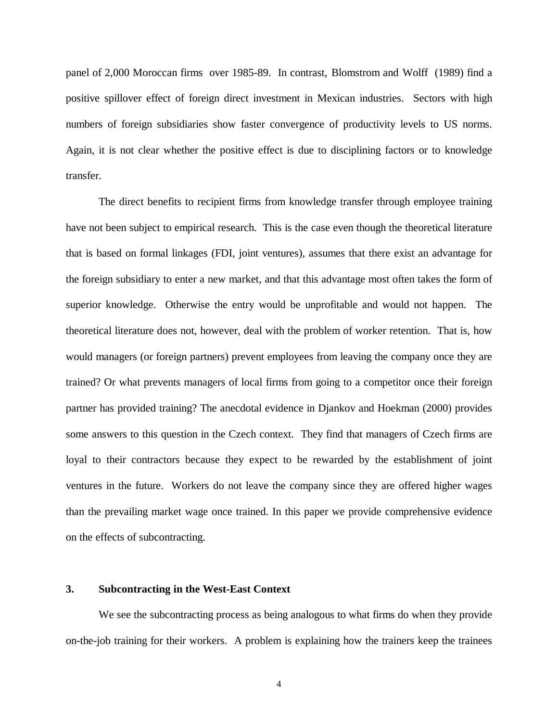panel of 2,000 Moroccan firms over 1985-89. In contrast, Blomstrom and Wolff (1989) find a positive spillover effect of foreign direct investment in Mexican industries. Sectors with high numbers of foreign subsidiaries show faster convergence of productivity levels to US norms. Again, it is not clear whether the positive effect is due to disciplining factors or to knowledge transfer.

The direct benefits to recipient firms from knowledge transfer through employee training have not been subject to empirical research. This is the case even though the theoretical literature that is based on formal linkages (FDI, joint ventures), assumes that there exist an advantage for the foreign subsidiary to enter a new market, and that this advantage most often takes the form of superior knowledge. Otherwise the entry would be unprofitable and would not happen. The theoretical literature does not, however, deal with the problem of worker retention. That is, how would managers (or foreign partners) prevent employees from leaving the company once they are trained? Or what prevents managers of local firms from going to a competitor once their foreign partner has provided training? The anecdotal evidence in Djankov and Hoekman (2000) provides some answers to this question in the Czech context. They find that managers of Czech firms are loyal to their contractors because they expect to be rewarded by the establishment of joint ventures in the future. Workers do not leave the company since they are offered higher wages than the prevailing market wage once trained. In this paper we provide comprehensive evidence on the effects of subcontracting.

## **3. Subcontracting in the West-East Context**

We see the subcontracting process as being analogous to what firms do when they provide on-the-job training for their workers. A problem is explaining how the trainers keep the trainees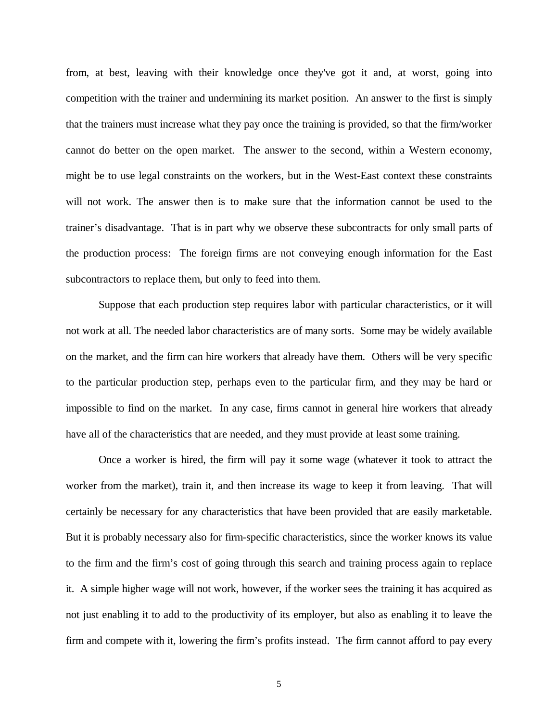from, at best, leaving with their knowledge once they've got it and, at worst, going into competition with the trainer and undermining its market position. An answer to the first is simply that the trainers must increase what they pay once the training is provided, so that the firm/worker cannot do better on the open market. The answer to the second, within a Western economy, might be to use legal constraints on the workers, but in the West-East context these constraints will not work. The answer then is to make sure that the information cannot be used to the trainer's disadvantage. That is in part why we observe these subcontracts for only small parts of the production process: The foreign firms are not conveying enough information for the East subcontractors to replace them, but only to feed into them.

Suppose that each production step requires labor with particular characteristics, or it will not work at all. The needed labor characteristics are of many sorts. Some may be widely available on the market, and the firm can hire workers that already have them. Others will be very specific to the particular production step, perhaps even to the particular firm, and they may be hard or impossible to find on the market. In any case, firms cannot in general hire workers that already have all of the characteristics that are needed, and they must provide at least some training.

Once a worker is hired, the firm will pay it some wage (whatever it took to attract the worker from the market), train it, and then increase its wage to keep it from leaving. That will certainly be necessary for any characteristics that have been provided that are easily marketable. But it is probably necessary also for firm-specific characteristics, since the worker knows its value to the firm and the firm's cost of going through this search and training process again to replace it. A simple higher wage will not work, however, if the worker sees the training it has acquired as not just enabling it to add to the productivity of its employer, but also as enabling it to leave the firm and compete with it, lowering the firm's profits instead. The firm cannot afford to pay every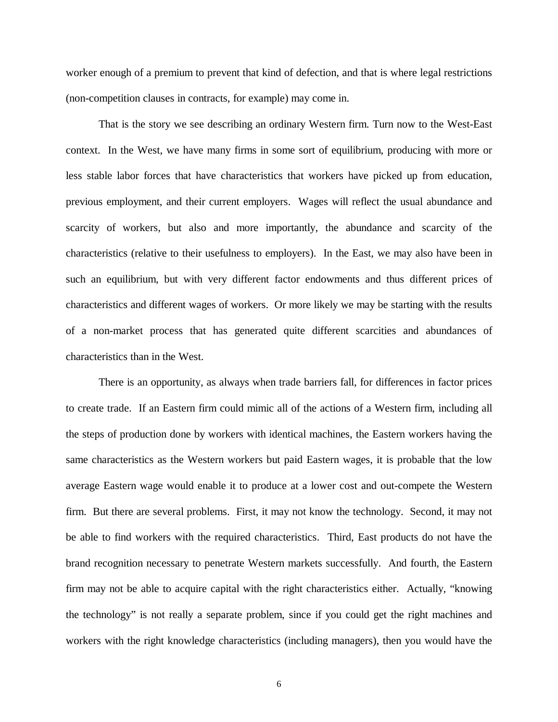worker enough of a premium to prevent that kind of defection, and that is where legal restrictions (non-competition clauses in contracts, for example) may come in.

That is the story we see describing an ordinary Western firm. Turn now to the West-East context. In the West, we have many firms in some sort of equilibrium, producing with more or less stable labor forces that have characteristics that workers have picked up from education, previous employment, and their current employers. Wages will reflect the usual abundance and scarcity of workers, but also and more importantly, the abundance and scarcity of the characteristics (relative to their usefulness to employers). In the East, we may also have been in such an equilibrium, but with very different factor endowments and thus different prices of characteristics and different wages of workers. Or more likely we may be starting with the results of a non-market process that has generated quite different scarcities and abundances of characteristics than in the West.

There is an opportunity, as always when trade barriers fall, for differences in factor prices to create trade. If an Eastern firm could mimic all of the actions of a Western firm, including all the steps of production done by workers with identical machines, the Eastern workers having the same characteristics as the Western workers but paid Eastern wages, it is probable that the low average Eastern wage would enable it to produce at a lower cost and out-compete the Western firm. But there are several problems. First, it may not know the technology. Second, it may not be able to find workers with the required characteristics. Third, East products do not have the brand recognition necessary to penetrate Western markets successfully. And fourth, the Eastern firm may not be able to acquire capital with the right characteristics either. Actually, "knowing the technology" is not really a separate problem, since if you could get the right machines and workers with the right knowledge characteristics (including managers), then you would have the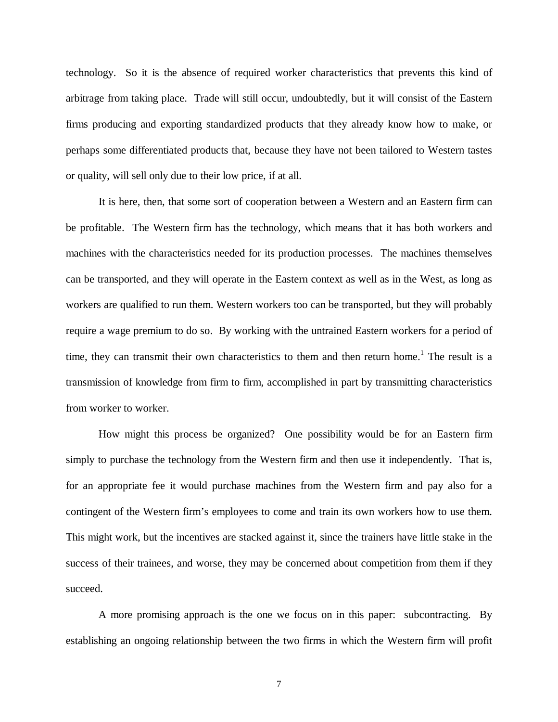technology. So it is the absence of required worker characteristics that prevents this kind of arbitrage from taking place. Trade will still occur, undoubtedly, but it will consist of the Eastern firms producing and exporting standardized products that they already know how to make, or perhaps some differentiated products that, because they have not been tailored to Western tastes or quality, will sell only due to their low price, if at all.

It is here, then, that some sort of cooperation between a Western and an Eastern firm can be profitable. The Western firm has the technology, which means that it has both workers and machines with the characteristics needed for its production processes. The machines themselves can be transported, and they will operate in the Eastern context as well as in the West, as long as workers are qualified to run them. Western workers too can be transported, but they will probably require a wage premium to do so. By working with the untrained Eastern workers for a period of time, they can transmit their own characteristics to them and then return home.<sup>1</sup> The result is a transmission of knowledge from firm to firm, accomplished in part by transmitting characteristics from worker to worker.

How might this process be organized? One possibility would be for an Eastern firm simply to purchase the technology from the Western firm and then use it independently. That is, for an appropriate fee it would purchase machines from the Western firm and pay also for a contingent of the Western firm's employees to come and train its own workers how to use them. This might work, but the incentives are stacked against it, since the trainers have little stake in the success of their trainees, and worse, they may be concerned about competition from them if they succeed.

A more promising approach is the one we focus on in this paper: subcontracting. By establishing an ongoing relationship between the two firms in which the Western firm will profit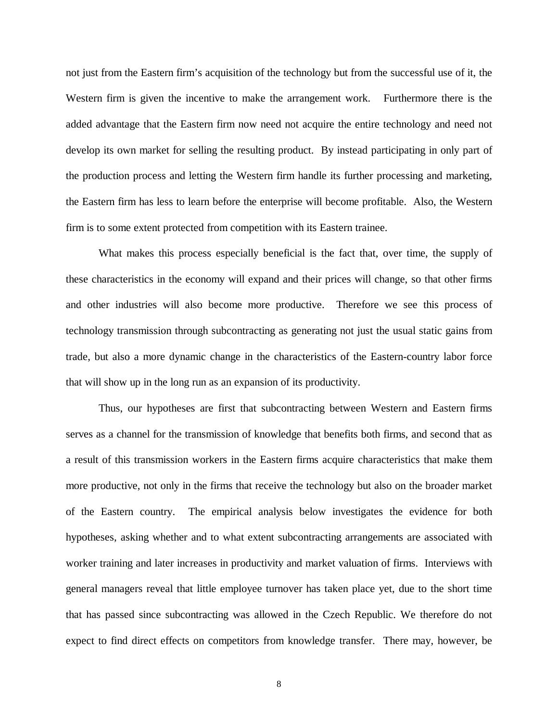not just from the Eastern firm's acquisition of the technology but from the successful use of it, the Western firm is given the incentive to make the arrangement work. Furthermore there is the added advantage that the Eastern firm now need not acquire the entire technology and need not develop its own market for selling the resulting product. By instead participating in only part of the production process and letting the Western firm handle its further processing and marketing, the Eastern firm has less to learn before the enterprise will become profitable. Also, the Western firm is to some extent protected from competition with its Eastern trainee.

What makes this process especially beneficial is the fact that, over time, the supply of these characteristics in the economy will expand and their prices will change, so that other firms and other industries will also become more productive. Therefore we see this process of technology transmission through subcontracting as generating not just the usual static gains from trade, but also a more dynamic change in the characteristics of the Eastern-country labor force that will show up in the long run as an expansion of its productivity.

Thus, our hypotheses are first that subcontracting between Western and Eastern firms serves as a channel for the transmission of knowledge that benefits both firms, and second that as a result of this transmission workers in the Eastern firms acquire characteristics that make them more productive, not only in the firms that receive the technology but also on the broader market of the Eastern country. The empirical analysis below investigates the evidence for both hypotheses, asking whether and to what extent subcontracting arrangements are associated with worker training and later increases in productivity and market valuation of firms. Interviews with general managers reveal that little employee turnover has taken place yet, due to the short time that has passed since subcontracting was allowed in the Czech Republic. We therefore do not expect to find direct effects on competitors from knowledge transfer. There may, however, be

8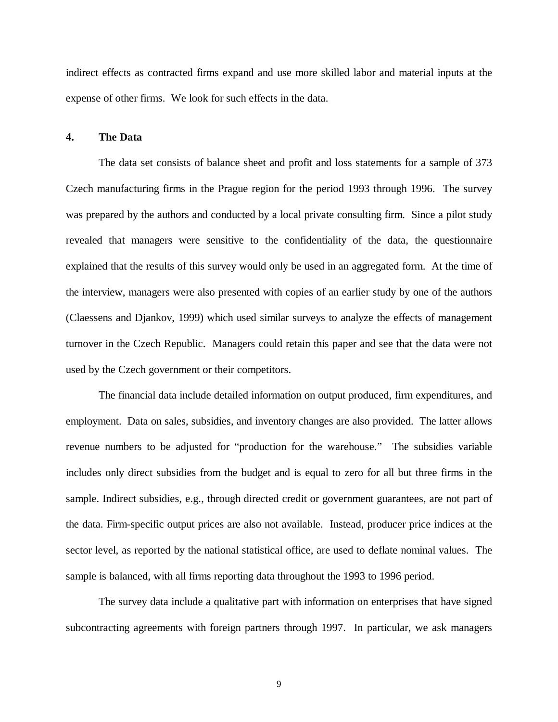indirect effects as contracted firms expand and use more skilled labor and material inputs at the expense of other firms. We look for such effects in the data.

## **4. The Data**

The data set consists of balance sheet and profit and loss statements for a sample of 373 Czech manufacturing firms in the Prague region for the period 1993 through 1996. The survey was prepared by the authors and conducted by a local private consulting firm. Since a pilot study revealed that managers were sensitive to the confidentiality of the data, the questionnaire explained that the results of this survey would only be used in an aggregated form. At the time of the interview, managers were also presented with copies of an earlier study by one of the authors (Claessens and Djankov, 1999) which used similar surveys to analyze the effects of management turnover in the Czech Republic. Managers could retain this paper and see that the data were not used by the Czech government or their competitors.

The financial data include detailed information on output produced, firm expenditures, and employment. Data on sales, subsidies, and inventory changes are also provided. The latter allows revenue numbers to be adjusted for "production for the warehouse." The subsidies variable includes only direct subsidies from the budget and is equal to zero for all but three firms in the sample. Indirect subsidies, e.g., through directed credit or government guarantees, are not part of the data. Firm-specific output prices are also not available. Instead, producer price indices at the sector level, as reported by the national statistical office, are used to deflate nominal values. The sample is balanced, with all firms reporting data throughout the 1993 to 1996 period.

The survey data include a qualitative part with information on enterprises that have signed subcontracting agreements with foreign partners through 1997. In particular, we ask managers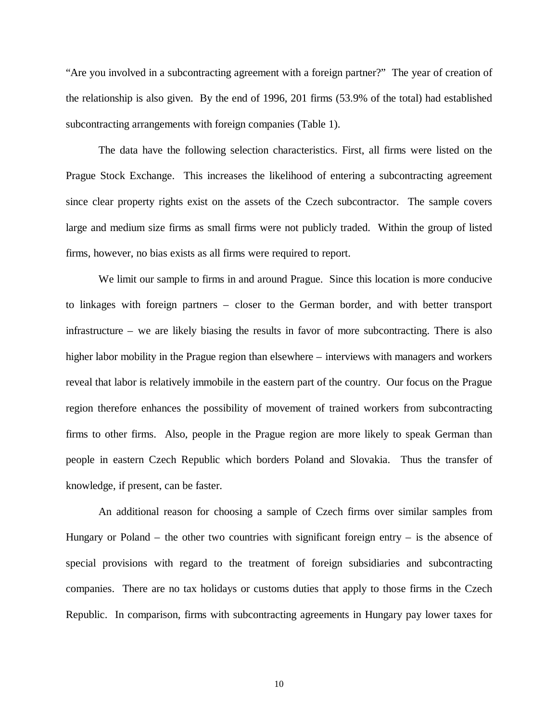"Are you involved in a subcontracting agreement with a foreign partner?" The year of creation of the relationship is also given. By the end of 1996, 201 firms (53.9% of the total) had established subcontracting arrangements with foreign companies (Table 1).

The data have the following selection characteristics. First, all firms were listed on the Prague Stock Exchange. This increases the likelihood of entering a subcontracting agreement since clear property rights exist on the assets of the Czech subcontractor. The sample covers large and medium size firms as small firms were not publicly traded. Within the group of listed firms, however, no bias exists as all firms were required to report.

We limit our sample to firms in and around Prague. Since this location is more conducive to linkages with foreign partners – closer to the German border, and with better transport infrastructure – we are likely biasing the results in favor of more subcontracting. There is also higher labor mobility in the Prague region than elsewhere – interviews with managers and workers reveal that labor is relatively immobile in the eastern part of the country. Our focus on the Prague region therefore enhances the possibility of movement of trained workers from subcontracting firms to other firms. Also, people in the Prague region are more likely to speak German than people in eastern Czech Republic which borders Poland and Slovakia. Thus the transfer of knowledge, if present, can be faster.

An additional reason for choosing a sample of Czech firms over similar samples from Hungary or Poland – the other two countries with significant foreign entry – is the absence of special provisions with regard to the treatment of foreign subsidiaries and subcontracting companies. There are no tax holidays or customs duties that apply to those firms in the Czech Republic. In comparison, firms with subcontracting agreements in Hungary pay lower taxes for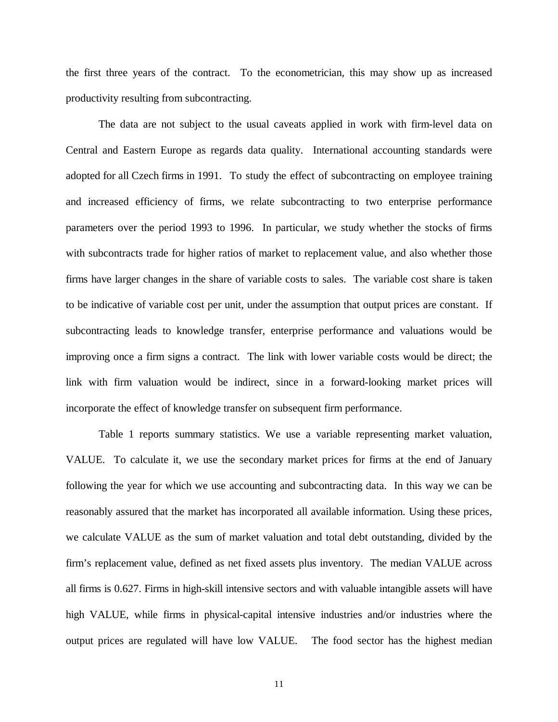the first three years of the contract. To the econometrician, this may show up as increased productivity resulting from subcontracting.

The data are not subject to the usual caveats applied in work with firm-level data on Central and Eastern Europe as regards data quality. International accounting standards were adopted for all Czech firms in 1991. To study the effect of subcontracting on employee training and increased efficiency of firms, we relate subcontracting to two enterprise performance parameters over the period 1993 to 1996. In particular, we study whether the stocks of firms with subcontracts trade for higher ratios of market to replacement value, and also whether those firms have larger changes in the share of variable costs to sales. The variable cost share is taken to be indicative of variable cost per unit, under the assumption that output prices are constant. If subcontracting leads to knowledge transfer, enterprise performance and valuations would be improving once a firm signs a contract. The link with lower variable costs would be direct; the link with firm valuation would be indirect, since in a forward-looking market prices will incorporate the effect of knowledge transfer on subsequent firm performance.

Table 1 reports summary statistics. We use a variable representing market valuation, VALUE. To calculate it, we use the secondary market prices for firms at the end of January following the year for which we use accounting and subcontracting data. In this way we can be reasonably assured that the market has incorporated all available information. Using these prices, we calculate VALUE as the sum of market valuation and total debt outstanding, divided by the firm's replacement value, defined as net fixed assets plus inventory. The median VALUE across all firms is 0.627. Firms in high-skill intensive sectors and with valuable intangible assets will have high VALUE, while firms in physical-capital intensive industries and/or industries where the output prices are regulated will have low VALUE. The food sector has the highest median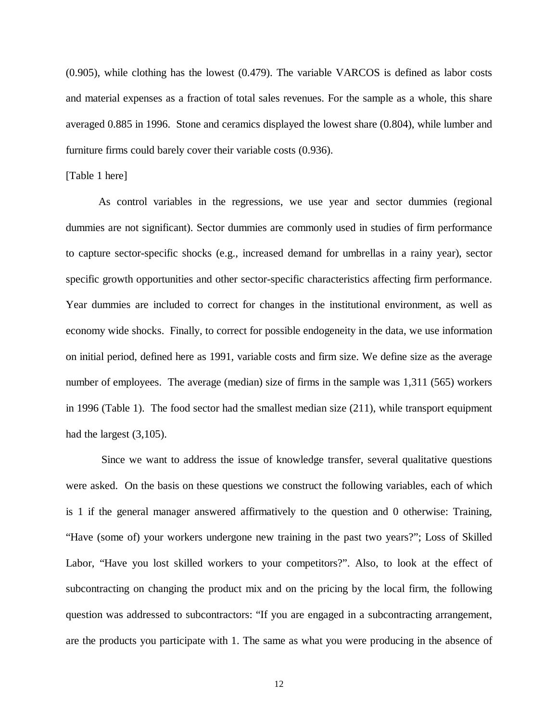(0.905), while clothing has the lowest (0.479). The variable VARCOS is defined as labor costs and material expenses as a fraction of total sales revenues. For the sample as a whole, this share averaged 0.885 in 1996. Stone and ceramics displayed the lowest share (0.804), while lumber and furniture firms could barely cover their variable costs (0.936).

#### [Table 1 here]

As control variables in the regressions, we use year and sector dummies (regional dummies are not significant). Sector dummies are commonly used in studies of firm performance to capture sector-specific shocks (e.g., increased demand for umbrellas in a rainy year), sector specific growth opportunities and other sector-specific characteristics affecting firm performance. Year dummies are included to correct for changes in the institutional environment, as well as economy wide shocks. Finally, to correct for possible endogeneity in the data, we use information on initial period, defined here as 1991, variable costs and firm size. We define size as the average number of employees. The average (median) size of firms in the sample was 1,311 (565) workers in 1996 (Table 1). The food sector had the smallest median size (211), while transport equipment had the largest  $(3,105)$ .

 Since we want to address the issue of knowledge transfer, several qualitative questions were asked. On the basis on these questions we construct the following variables, each of which is 1 if the general manager answered affirmatively to the question and 0 otherwise: Training, "Have (some of) your workers undergone new training in the past two years?"; Loss of Skilled Labor, "Have you lost skilled workers to your competitors?". Also, to look at the effect of subcontracting on changing the product mix and on the pricing by the local firm, the following question was addressed to subcontractors: "If you are engaged in a subcontracting arrangement, are the products you participate with 1. The same as what you were producing in the absence of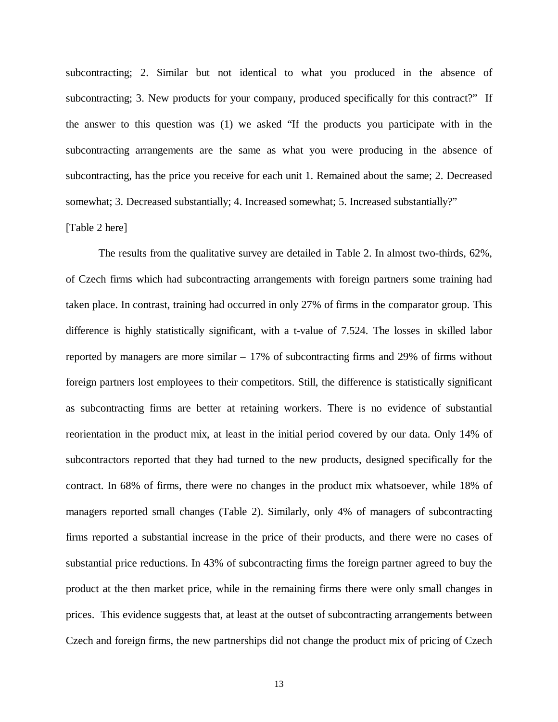subcontracting; 2. Similar but not identical to what you produced in the absence of subcontracting; 3. New products for your company, produced specifically for this contract?" If the answer to this question was (1) we asked "If the products you participate with in the subcontracting arrangements are the same as what you were producing in the absence of subcontracting, has the price you receive for each unit 1. Remained about the same; 2. Decreased somewhat; 3. Decreased substantially; 4. Increased somewhat; 5. Increased substantially?"

## [Table 2 here]

The results from the qualitative survey are detailed in Table 2. In almost two-thirds, 62%, of Czech firms which had subcontracting arrangements with foreign partners some training had taken place. In contrast, training had occurred in only 27% of firms in the comparator group. This difference is highly statistically significant, with a t-value of 7.524. The losses in skilled labor reported by managers are more similar – 17% of subcontracting firms and 29% of firms without foreign partners lost employees to their competitors. Still, the difference is statistically significant as subcontracting firms are better at retaining workers. There is no evidence of substantial reorientation in the product mix, at least in the initial period covered by our data. Only 14% of subcontractors reported that they had turned to the new products, designed specifically for the contract. In 68% of firms, there were no changes in the product mix whatsoever, while 18% of managers reported small changes (Table 2). Similarly, only 4% of managers of subcontracting firms reported a substantial increase in the price of their products, and there were no cases of substantial price reductions. In 43% of subcontracting firms the foreign partner agreed to buy the product at the then market price, while in the remaining firms there were only small changes in prices. This evidence suggests that, at least at the outset of subcontracting arrangements between Czech and foreign firms, the new partnerships did not change the product mix of pricing of Czech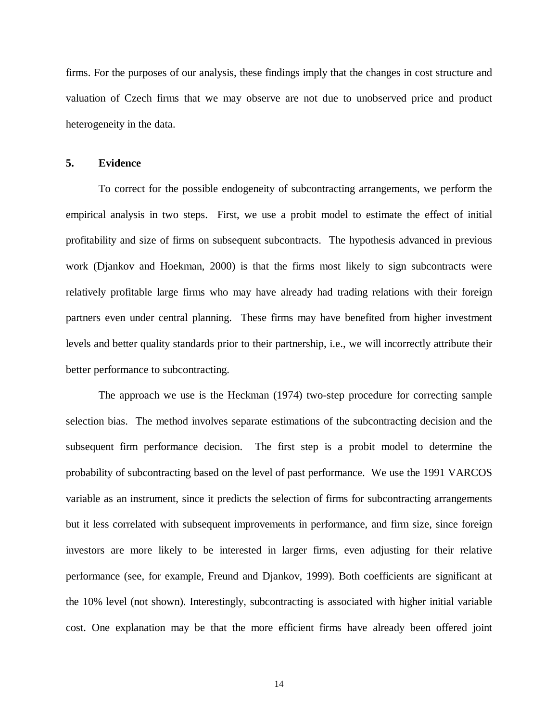firms. For the purposes of our analysis, these findings imply that the changes in cost structure and valuation of Czech firms that we may observe are not due to unobserved price and product heterogeneity in the data.

## **5. Evidence**

To correct for the possible endogeneity of subcontracting arrangements, we perform the empirical analysis in two steps. First, we use a probit model to estimate the effect of initial profitability and size of firms on subsequent subcontracts. The hypothesis advanced in previous work (Djankov and Hoekman, 2000) is that the firms most likely to sign subcontracts were relatively profitable large firms who may have already had trading relations with their foreign partners even under central planning. These firms may have benefited from higher investment levels and better quality standards prior to their partnership, i.e., we will incorrectly attribute their better performance to subcontracting.

The approach we use is the Heckman (1974) two-step procedure for correcting sample selection bias. The method involves separate estimations of the subcontracting decision and the subsequent firm performance decision. The first step is a probit model to determine the probability of subcontracting based on the level of past performance. We use the 1991 VARCOS variable as an instrument, since it predicts the selection of firms for subcontracting arrangements but it less correlated with subsequent improvements in performance, and firm size, since foreign investors are more likely to be interested in larger firms, even adjusting for their relative performance (see, for example, Freund and Djankov, 1999). Both coefficients are significant at the 10% level (not shown). Interestingly, subcontracting is associated with higher initial variable cost. One explanation may be that the more efficient firms have already been offered joint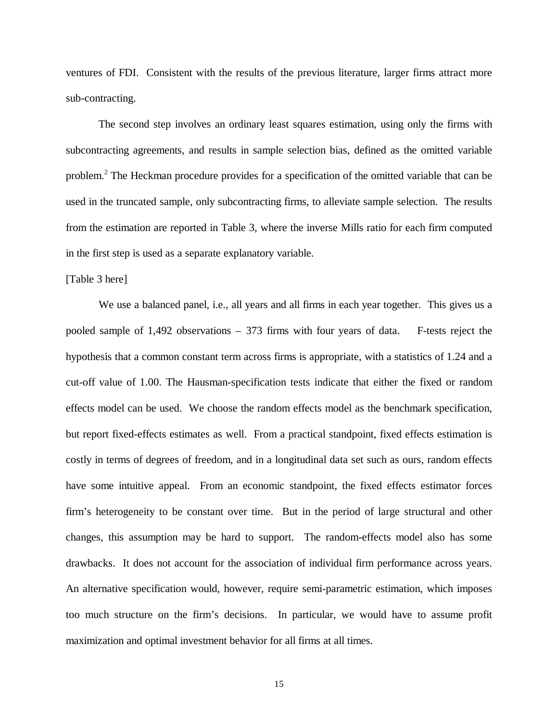ventures of FDI. Consistent with the results of the previous literature, larger firms attract more sub-contracting.

The second step involves an ordinary least squares estimation, using only the firms with subcontracting agreements, and results in sample selection bias, defined as the omitted variable problem.<sup>2</sup> The Heckman procedure provides for a specification of the omitted variable that can be used in the truncated sample, only subcontracting firms, to alleviate sample selection. The results from the estimation are reported in Table 3, where the inverse Mills ratio for each firm computed in the first step is used as a separate explanatory variable.

#### [Table 3 here]

We use a balanced panel, i.e., all years and all firms in each year together. This gives us a pooled sample of 1,492 observations – 373 firms with four years of data. F-tests reject the hypothesis that a common constant term across firms is appropriate, with a statistics of 1.24 and a cut-off value of 1.00. The Hausman-specification tests indicate that either the fixed or random effects model can be used. We choose the random effects model as the benchmark specification, but report fixed-effects estimates as well. From a practical standpoint, fixed effects estimation is costly in terms of degrees of freedom, and in a longitudinal data set such as ours, random effects have some intuitive appeal. From an economic standpoint, the fixed effects estimator forces firm's heterogeneity to be constant over time. But in the period of large structural and other changes, this assumption may be hard to support. The random-effects model also has some drawbacks. It does not account for the association of individual firm performance across years. An alternative specification would, however, require semi-parametric estimation, which imposes too much structure on the firm's decisions. In particular, we would have to assume profit maximization and optimal investment behavior for all firms at all times.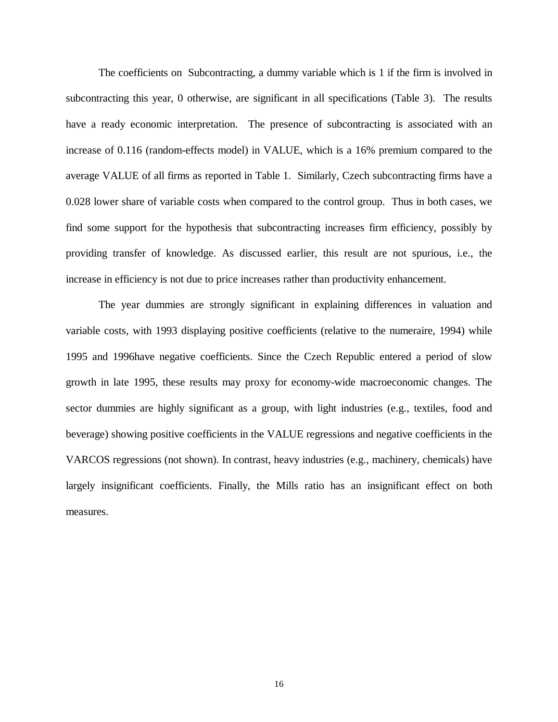The coefficients on Subcontracting, a dummy variable which is 1 if the firm is involved in subcontracting this year, 0 otherwise, are significant in all specifications (Table 3). The results have a ready economic interpretation. The presence of subcontracting is associated with an increase of 0.116 (random-effects model) in VALUE, which is a 16% premium compared to the average VALUE of all firms as reported in Table 1. Similarly, Czech subcontracting firms have a 0.028 lower share of variable costs when compared to the control group. Thus in both cases, we find some support for the hypothesis that subcontracting increases firm efficiency, possibly by providing transfer of knowledge. As discussed earlier, this result are not spurious, i.e., the increase in efficiency is not due to price increases rather than productivity enhancement.

The year dummies are strongly significant in explaining differences in valuation and variable costs, with 1993 displaying positive coefficients (relative to the numeraire, 1994) while 1995 and 1996have negative coefficients. Since the Czech Republic entered a period of slow growth in late 1995, these results may proxy for economy-wide macroeconomic changes. The sector dummies are highly significant as a group, with light industries (e.g., textiles, food and beverage) showing positive coefficients in the VALUE regressions and negative coefficients in the VARCOS regressions (not shown). In contrast, heavy industries (e.g., machinery, chemicals) have largely insignificant coefficients. Finally, the Mills ratio has an insignificant effect on both measures.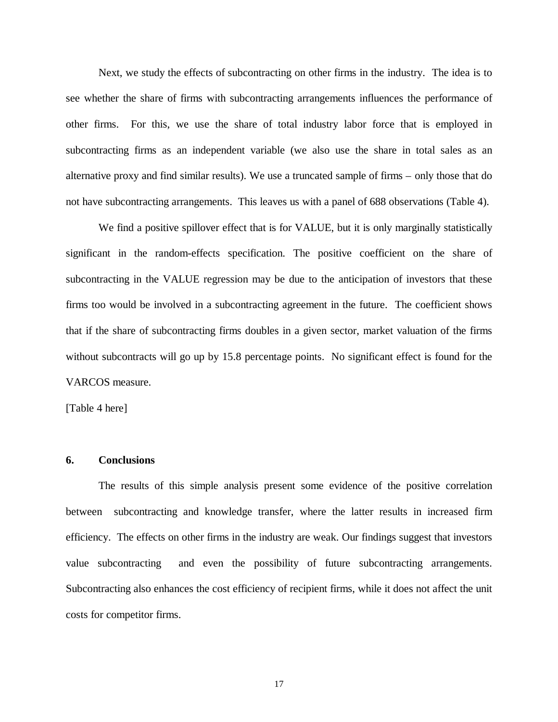Next, we study the effects of subcontracting on other firms in the industry. The idea is to see whether the share of firms with subcontracting arrangements influences the performance of other firms. For this, we use the share of total industry labor force that is employed in subcontracting firms as an independent variable (we also use the share in total sales as an alternative proxy and find similar results). We use a truncated sample of firms – only those that do not have subcontracting arrangements. This leaves us with a panel of 688 observations (Table 4).

We find a positive spillover effect that is for VALUE, but it is only marginally statistically significant in the random-effects specification. The positive coefficient on the share of subcontracting in the VALUE regression may be due to the anticipation of investors that these firms too would be involved in a subcontracting agreement in the future. The coefficient shows that if the share of subcontracting firms doubles in a given sector, market valuation of the firms without subcontracts will go up by 15.8 percentage points. No significant effect is found for the VARCOS measure.

[Table 4 here]

#### **6. Conclusions**

The results of this simple analysis present some evidence of the positive correlation between subcontracting and knowledge transfer, where the latter results in increased firm efficiency. The effects on other firms in the industry are weak. Our findings suggest that investors value subcontracting and even the possibility of future subcontracting arrangements. Subcontracting also enhances the cost efficiency of recipient firms, while it does not affect the unit costs for competitor firms.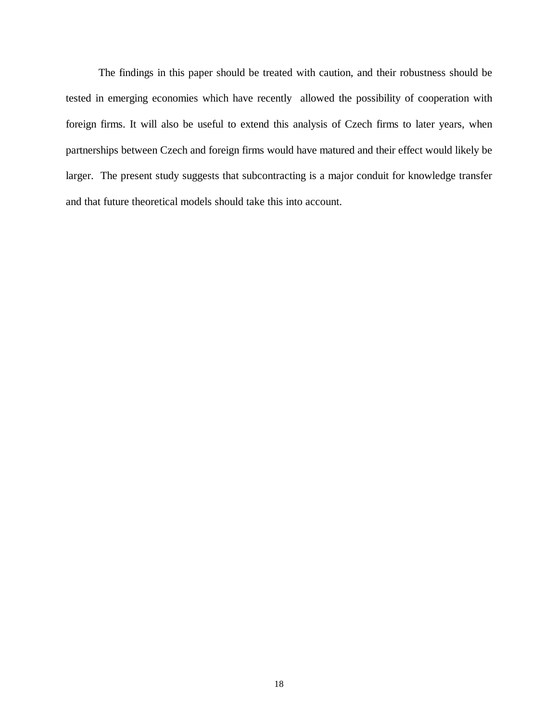The findings in this paper should be treated with caution, and their robustness should be tested in emerging economies which have recently allowed the possibility of cooperation with foreign firms. It will also be useful to extend this analysis of Czech firms to later years, when partnerships between Czech and foreign firms would have matured and their effect would likely be larger. The present study suggests that subcontracting is a major conduit for knowledge transfer and that future theoretical models should take this into account.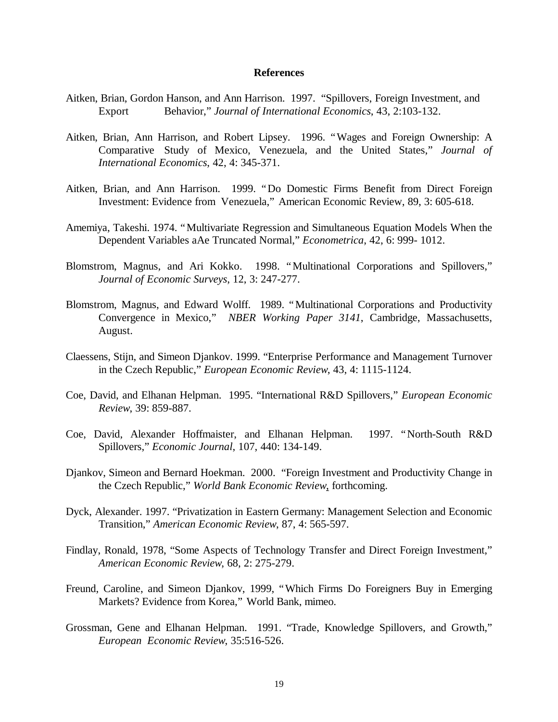#### **References**

- Aitken, Brian, Gordon Hanson, and Ann Harrison. 1997. "Spillovers, Foreign Investment, and Export Behavior," *Journal of International Economics*, 43, 2:103-132.
- Aitken, Brian, Ann Harrison, and Robert Lipsey. 1996. "Wages and Foreign Ownership: A Comparative Study of Mexico, Venezuela, and the United States," *Journal of International Economics*, 42, 4: 345-371.
- Aitken, Brian, and Ann Harrison. 1999. "Do Domestic Firms Benefit from Direct Foreign Investment: Evidence from Venezuela," American Economic Review, 89, 3: 605-618.
- Amemiya, Takeshi. 1974. "Multivariate Regression and Simultaneous Equation Models When the Dependent Variables aAe Truncated Normal," *Econometrica*, 42, 6: 999- 1012.
- Blomstrom, Magnus, and Ari Kokko. 1998. "Multinational Corporations and Spillovers," *Journal of Economic Surveys*, 12, 3: 247-277.
- Blomstrom, Magnus, and Edward Wolff. 1989. "Multinational Corporations and Productivity Convergence in Mexico," *NBER Working Paper 3141*, Cambridge, Massachusetts, August.
- Claessens, Stijn, and Simeon Djankov. 1999. "Enterprise Performance and Management Turnover in the Czech Republic," *European Economic Review*, 43, 4: 1115-1124.
- Coe, David, and Elhanan Helpman. 1995. "International R&D Spillovers," *European Economic Review*, 39: 859-887.
- Coe, David, Alexander Hoffmaister, and Elhanan Helpman. 1997. "North-South R&D Spillovers," *Economic Journal*, 107, 440: 134-149.
- Djankov, Simeon and Bernard Hoekman. 2000. "Foreign Investment and Productivity Change in the Czech Republic," *World Bank Economic Review*, forthcoming.
- Dyck, Alexander. 1997. "Privatization in Eastern Germany: Management Selection and Economic Transition," *American Economic Review*, 87, 4: 565-597.
- Findlay, Ronald, 1978, "Some Aspects of Technology Transfer and Direct Foreign Investment," *American Economic Review*, 68, 2: 275-279.
- Freund, Caroline, and Simeon Djankov, 1999, "Which Firms Do Foreigners Buy in Emerging Markets? Evidence from Korea," World Bank, mimeo.
- Grossman, Gene and Elhanan Helpman. 1991. "Trade, Knowledge Spillovers, and Growth," *European Economic Review*, 35:516-526.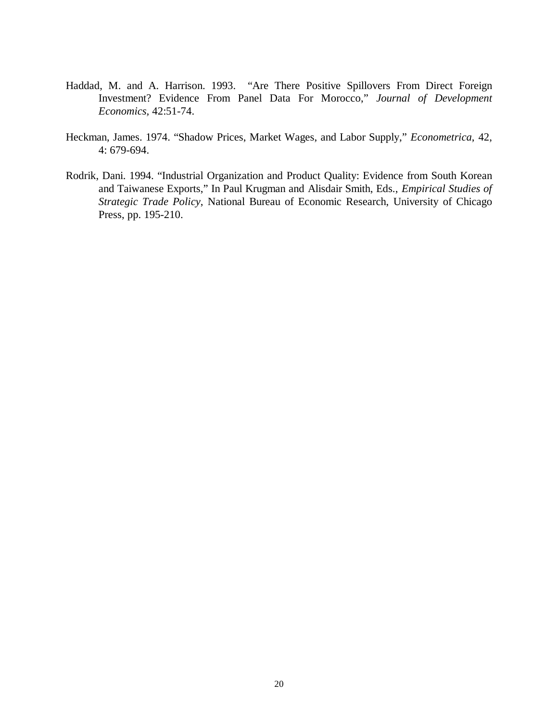- Haddad, M. and A. Harrison. 1993. "Are There Positive Spillovers From Direct Foreign Investment? Evidence From Panel Data For Morocco," *Journal of Development Economics,* 42:51-74.
- Heckman, James. 1974. "Shadow Prices, Market Wages, and Labor Supply," *Econometrica*, 42, 4: 679-694.
- Rodrik, Dani. 1994. "Industrial Organization and Product Quality: Evidence from South Korean and Taiwanese Exports," In Paul Krugman and Alisdair Smith, Eds., *Empirical Studies of Strategic Trade Policy*, National Bureau of Economic Research, University of Chicago Press, pp. 195-210.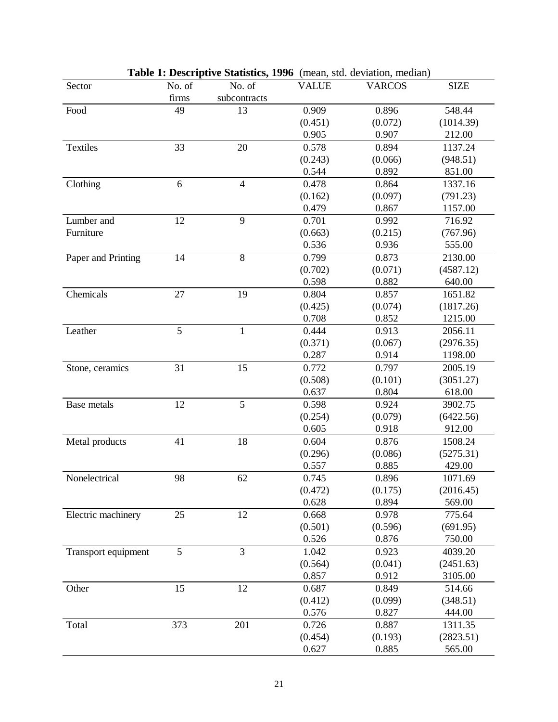| Sector              | No. of | No. of         | <b>VALUE</b> | <b>VARCOS</b> | <b>SIZE</b> |
|---------------------|--------|----------------|--------------|---------------|-------------|
|                     | firms  | subcontracts   |              |               |             |
| Food                | 49     | 13             | 0.909        | 0.896         | 548.44      |
|                     |        |                | (0.451)      | (0.072)       | (1014.39)   |
|                     |        |                | 0.905        | 0.907         | 212.00      |
| <b>Textiles</b>     | 33     | 20             | 0.578        | 0.894         | 1137.24     |
|                     |        |                | (0.243)      | (0.066)       | (948.51)    |
|                     |        |                | 0.544        | 0.892         | 851.00      |
| Clothing            | 6      | $\overline{4}$ | 0.478        | 0.864         | 1337.16     |
|                     |        |                | (0.162)      | (0.097)       | (791.23)    |
|                     |        |                | 0.479        | 0.867         | 1157.00     |
| Lumber and          | 12     | 9              | 0.701        | 0.992         | 716.92      |
| Furniture           |        |                | (0.663)      | (0.215)       | (767.96)    |
|                     |        |                | 0.536        | 0.936         | 555.00      |
| Paper and Printing  | 14     | 8              | 0.799        | 0.873         | 2130.00     |
|                     |        |                | (0.702)      | (0.071)       | (4587.12)   |
|                     |        |                | 0.598        | 0.882         | 640.00      |
| Chemicals           | 27     | 19             | 0.804        | 0.857         | 1651.82     |
|                     |        |                | (0.425)      | (0.074)       | (1817.26)   |
|                     |        |                | 0.708        | 0.852         | 1215.00     |
| Leather             | 5      | $\mathbf{1}$   | 0.444        | 0.913         | 2056.11     |
|                     |        |                | (0.371)      | (0.067)       | (2976.35)   |
|                     |        |                | 0.287        | 0.914         | 1198.00     |
| Stone, ceramics     | 31     | 15             | 0.772        | 0.797         | 2005.19     |
|                     |        |                | (0.508)      | (0.101)       | (3051.27)   |
|                     |        |                | 0.637        | 0.804         | 618.00      |
| Base metals         | 12     | 5              | 0.598        | 0.924         | 3902.75     |
|                     |        |                | (0.254)      | (0.079)       | (6422.56)   |
|                     |        |                | 0.605        | 0.918         | 912.00      |
| Metal products      | 41     | 18             | 0.604        | 0.876         | 1508.24     |
|                     |        |                | (0.296)      | (0.086)       | (5275.31)   |
|                     |        |                | 0.557        | 0.885         | 429.00      |
| Nonelectrical       | 98     | 62             | 0.745        | 0.896         | 1071.69     |
|                     |        |                | (0.472)      | (0.175)       | (2016.45)   |
|                     |        |                | 0.628        | 0.894         | 569.00      |
| Electric machinery  | 25     | 12             | 0.668        | 0.978         | 775.64      |
|                     |        |                | (0.501)      | (0.596)       | (691.95)    |
|                     |        |                | 0.526        | 0.876         | 750.00      |
| Transport equipment | 5      | $\overline{3}$ | 1.042        | 0.923         | 4039.20     |
|                     |        |                | (0.564)      | (0.041)       | (2451.63)   |
|                     |        |                | 0.857        | 0.912         | 3105.00     |
| Other               | 15     | 12             | 0.687        | 0.849         | 514.66      |
|                     |        |                | (0.412)      | (0.099)       | (348.51)    |
|                     |        |                | 0.576        | 0.827         | 444.00      |
| Total               | 373    | 201            | 0.726        | 0.887         | 1311.35     |
|                     |        |                | (0.454)      | (0.193)       | (2823.51)   |
|                     |        |                | 0.627        | 0.885         | 565.00      |

| <b>Table 1: Descriptive Statistics, 1996</b> (mean, std. deviation, median) |  |
|-----------------------------------------------------------------------------|--|
|-----------------------------------------------------------------------------|--|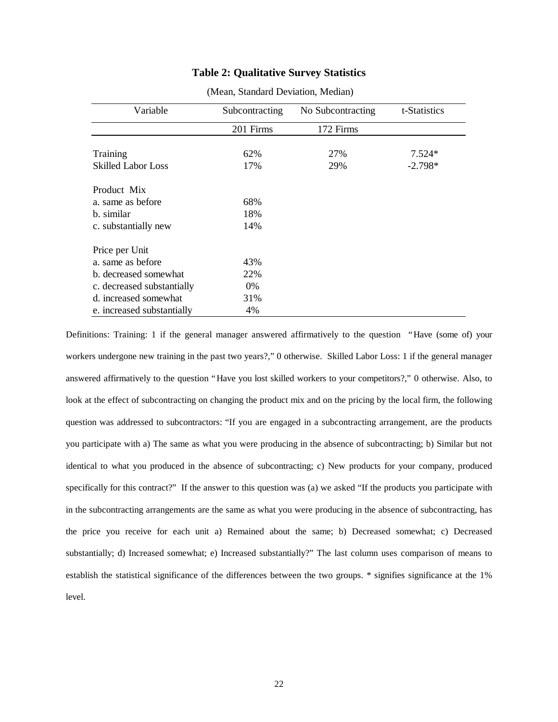## **Table 2: Qualitative Survey Statistics**

| Variable                   | Subcontracting<br>No Subcontracting |           | t-Statistics |  |
|----------------------------|-------------------------------------|-----------|--------------|--|
|                            | 201 Firms                           | 172 Firms |              |  |
|                            |                                     |           |              |  |
| Training                   | 62%                                 | 27%       | $7.524*$     |  |
| <b>Skilled Labor Loss</b>  | 17%                                 | 29%       | $-2.798*$    |  |
| Product Mix                |                                     |           |              |  |
| a. same as before          | 68%                                 |           |              |  |
| b. similar                 | 18%                                 |           |              |  |
| c. substantially new       | 14%                                 |           |              |  |
| Price per Unit             |                                     |           |              |  |
| a. same as before          | 43%                                 |           |              |  |
| b. decreased somewhat      | 22%                                 |           |              |  |
| c. decreased substantially | $0\%$                               |           |              |  |
| d. increased somewhat      | 31%                                 |           |              |  |
| e. increased substantially | 4%                                  |           |              |  |

(Mean, Standard Deviation, Median)

Definitions: Training: 1 if the general manager answered affirmatively to the question "Have (some of) your workers undergone new training in the past two years?," 0 otherwise. Skilled Labor Loss: 1 if the general manager answered affirmatively to the question "Have you lost skilled workers to your competitors?," 0 otherwise. Also, to look at the effect of subcontracting on changing the product mix and on the pricing by the local firm, the following question was addressed to subcontractors: "If you are engaged in a subcontracting arrangement, are the products you participate with a) The same as what you were producing in the absence of subcontracting; b) Similar but not identical to what you produced in the absence of subcontracting; c) New products for your company, produced specifically for this contract?" If the answer to this question was (a) we asked "If the products you participate with in the subcontracting arrangements are the same as what you were producing in the absence of subcontracting, has the price you receive for each unit a) Remained about the same; b) Decreased somewhat; c) Decreased substantially; d) Increased somewhat; e) Increased substantially?" The last column uses comparison of means to establish the statistical significance of the differences between the two groups. \* signifies significance at the 1% level.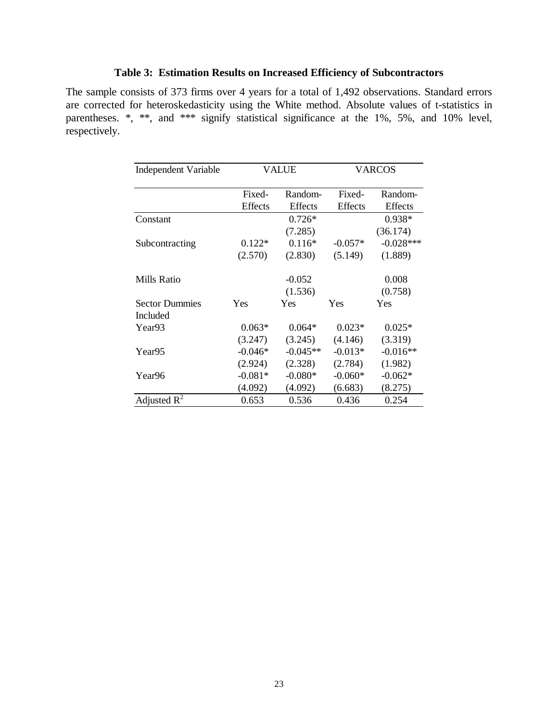## **Table 3: Estimation Results on Increased Efficiency of Subcontractors**

The sample consists of 373 firms over 4 years for a total of 1,492 observations. Standard errors are corrected for heteroskedasticity using the White method. Absolute values of t-statistics in parentheses. \*, \*\*, and \*\*\* signify statistical significance at the 1%, 5%, and 10% level, respectively.

| <b>Independent Variable</b> | VALUE          |            | VARCOS         |             |
|-----------------------------|----------------|------------|----------------|-------------|
|                             | Fixed-         | Random-    | Fixed-         | Random-     |
|                             | <b>Effects</b> | Effects    | <b>Effects</b> | Effects     |
| Constant                    |                | $0.726*$   |                | $0.938*$    |
|                             |                | (7.285)    |                | (36.174)    |
| Subcontracting              | $0.122*$       | $0.116*$   | $-0.057*$      | $-0.028***$ |
|                             | (2.570)        | (2.830)    | (5.149)        | (1.889)     |
| Mills Ratio                 |                | $-0.052$   |                | 0.008       |
|                             |                | (1.536)    |                | (0.758)     |
| <b>Sector Dummies</b>       | Yes            | Yes        | Yes            | Yes         |
| Included                    |                |            |                |             |
| Year93                      | $0.063*$       | $0.064*$   | $0.023*$       | $0.025*$    |
|                             | (3.247)        | (3.245)    | (4.146)        | (3.319)     |
| Year95                      | $-0.046*$      | $-0.045**$ | $-0.013*$      | $-0.016**$  |
|                             | (2.924)        | (2.328)    | (2.784)        | (1.982)     |
| Year96                      | $-0.081*$      | $-0.080*$  | $-0.060*$      | $-0.062*$   |
|                             | (4.092)        | (4.092)    | (6.683)        | (8.275)     |
| Adjusted $R^2$              | 0.653          | 0.536      | 0.436          | 0.254       |